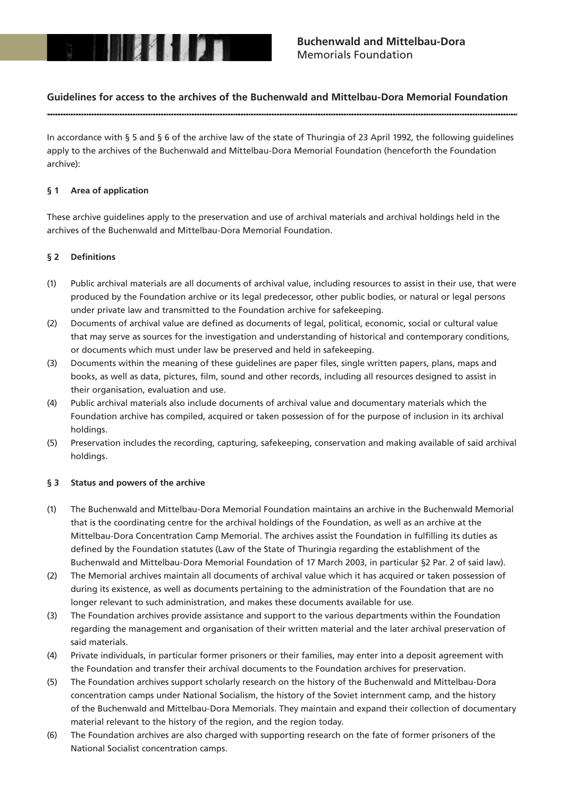

# **Guidelines for access to the archives of the Buchenwald and Mittelbau-Dora Memorial Foundation**

In accordance with § 5 and § 6 of the archive law of the state of Thuringia of 23 April 1992, the following guidelines apply to the archives of the Buchenwald and Mittelbau-Dora Memorial Foundation (henceforth the Foundation archive):

### **§ 1 Area of application**

These archive guidelines apply to the preservation and use of archival materials and archival holdings held in the archives of the Buchenwald and Mittelbau-Dora Memorial Foundation.

### § 2 Definitions

- (1) Public archival materials are all documents of archival value, including resources to assist in their use, that were produced by the Foundation archive or its legal predecessor, other public bodies, or natural or legal persons under private law and transmitted to the Foundation archive for safekeeping.
- (2) Documents of archival value are defined as documents of legal, political, economic, social or cultural value that may serve as sources for the investigation and understanding of historical and contemporary conditions, or documents which must under law be preserved and held in safekeeping.
- (3) Documents within the meaning of these guidelines are paper files, single written papers, plans, maps and books, as well as data, pictures, film, sound and other records, including all resources designed to assist in their organisation, evaluation and use.
- (4) Public archival materials also include documents of archival value and documentary materials which the Foundation archive has compiled, acquired or taken possession of for the purpose of inclusion in its archival holdings.
- (5) Preservation includes the recording, capturing, safekeeping, conservation and making available of said archival holdings.

#### **§ 3 Status and powers of the archive**

- (1) The Buchenwald and Mittelbau-Dora Memorial Foundation maintains an archive in the Buchenwald Memorial that is the coordinating centre for the archival holdings of the Foundation, as well as an archive at the Mittelbau-Dora Concentration Camp Memorial. The archives assist the Foundation in fulfilling its duties as defined by the Foundation statutes (Law of the State of Thuringia regarding the establishment of the Buchenwald and Mittelbau-Dora Memorial Foundation of 17 March 2003, in particular §2 Par. 2 of said law).
- (2) The Memorial archives maintain all documents of archival value which it has acquired or taken possession of during its existence, as well as documents pertaining to the administration of the Foundation that are no longer relevant to such administration, and makes these documents available for use.
- (3) The Foundation archives provide assistance and support to the various departments within the Foundation regarding the management and organisation of their written material and the later archival preservation of said materials.
- (4) Private individuals, in particular former prisoners or their families, may enter into a deposit agreement with the Foundation and transfer their archival documents to the Foundation archives for preservation.
- (5) The Foundation archives support scholarly research on the history of the Buchenwald and Mittelbau-Dora concentration camps under National Socialism, the history of the Soviet internment camp, and the history of the Buchenwald and Mittelbau-Dora Memorials. They maintain and expand their collection of documentary material relevant to the history of the region, and the region today.
- (6) The Foundation archives are also charged with supporting research on the fate of former prisoners of the National Socialist concentration camps.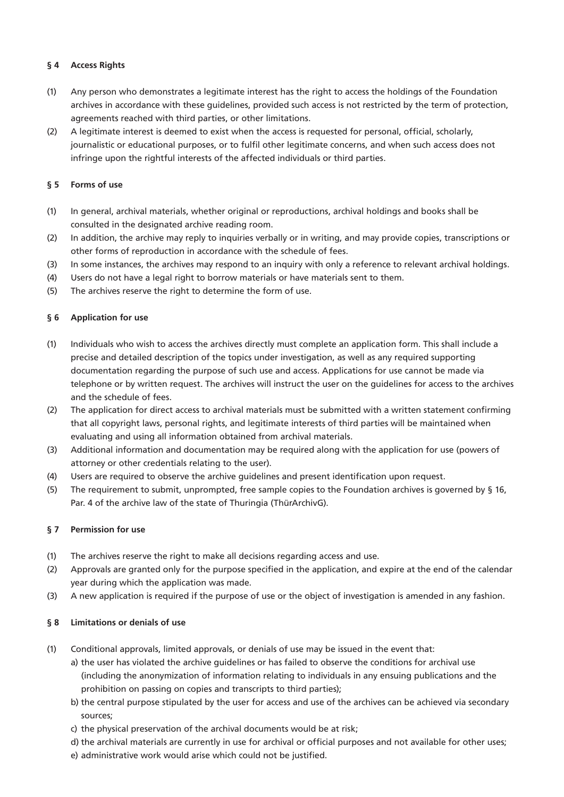# **§ 4 Access Rights**

- (1) Any person who demonstrates a legitimate interest has the right to access the holdings of the Foundation archives in accordance with these guidelines, provided such access is not restricted by the term of protection, agreements reached with third parties, or other limitations.
- (2) A legitimate interest is deemed to exist when the access is requested for personal, official, scholarly, journalistic or educational purposes, or to fulfil other legitimate concerns, and when such access does not infringe upon the rightful interests of the affected individuals or third parties.

# **§ 5 Forms of use**

- (1) In general, archival materials, whether original or reproductions, archival holdings and books shall be consulted in the designated archive reading room.
- (2) In addition, the archive may reply to inquiries verbally or in writing, and may provide copies, transcriptions or other forms of reproduction in accordance with the schedule of fees.
- (3) In some instances, the archives may respond to an inquiry with only a reference to relevant archival holdings.
- (4) Users do not have a legal right to borrow materials or have materials sent to them.
- (5) The archives reserve the right to determine the form of use.

# **§ 6 Application for use**

- (1) Individuals who wish to access the archives directly must complete an application form. This shall include a precise and detailed description of the topics under investigation, as well as any required supporting documentation regarding the purpose of such use and access. Applications for use cannot be made via telephone or by written request. The archives will instruct the user on the guidelines for access to the archives and the schedule of fees.
- $(2)$  The application for direct access to archival materials must be submitted with a written statement confirming that all copyright laws, personal rights, and legitimate interests of third parties will be maintained when evaluating and using all information obtained from archival materials.
- (3) Additional information and documentation may be required along with the application for use (powers of attorney or other credentials relating to the user).
- (4) Users are required to observe the archive guidelines and present identification upon request.
- (5) The requirement to submit, unprompted, free sample copies to the Foundation archives is governed by § 16, Par. 4 of the archive law of the state of Thuringia (ThürArchivG).

## **§ 7 Permission for use**

- (1) The archives reserve the right to make all decisions regarding access and use.
- (2) Approvals are granted only for the purpose specified in the application, and expire at the end of the calendar year during which the application was made.
- (3) A new application is required if the purpose of use or the object of investigation is amended in any fashion.

## **§ 8 Limitations or denials of use**

- (1) Conditional approvals, limited approvals, or denials of use may be issued in the event that:
	- a) the user has violated the archive guidelines or has failed to observe the conditions for archival use (including the anonymization of information relating to individuals in any ensuing publications and the prohibition on passing on copies and transcripts to third parties);
	- b) the central purpose stipulated by the user for access and use of the archives can be achieved via secondary sources;
	- c) the physical preservation of the archival documents would be at risk;
	- d) the archival materials are currently in use for archival or official purposes and not available for other uses;
	- e) administrative work would arise which could not be justified.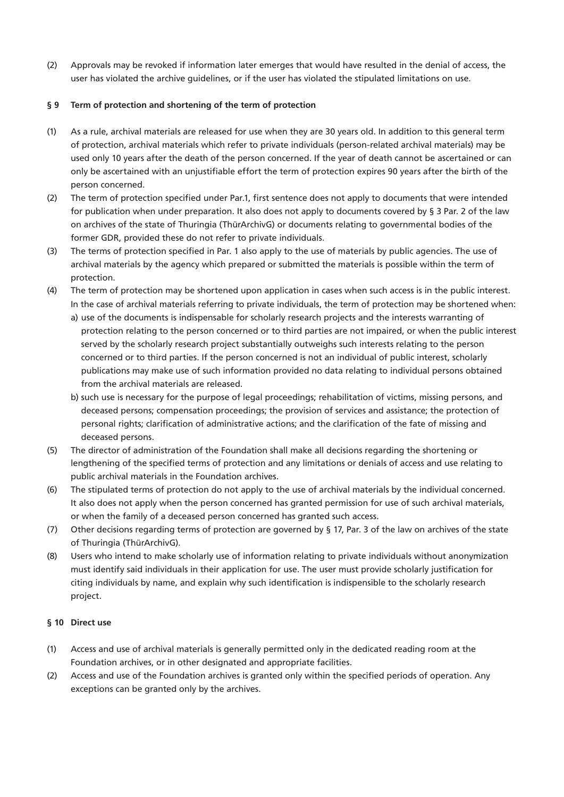(2) Approvals may be revoked if information later emerges that would have resulted in the denial of access, the user has violated the archive guidelines, or if the user has violated the stipulated limitations on use.

# **§ 9 Term of protection and shortening of the term of protection**

- (1) As a rule, archival materials are released for use when they are 30 years old. In addition to this general term of protection, archival materials which refer to private individuals (person-related archival materials) may be used only 10 years after the death of the person concerned. If the year of death cannot be ascertained or can only be ascertained with an unjustifiable effort the term of protection expires 90 years after the birth of the person concerned.
- (2) The term of protection specified under Par.1, first sentence does not apply to documents that were intended for publication when under preparation. It also does not apply to documents covered by § 3 Par. 2 of the law on archives of the state of Thuringia (ThürArchivG) or documents relating to governmental bodies of the former GDR, provided these do not refer to private individuals.
- (3) The terms of protection specified in Par. 1 also apply to the use of materials by public agencies. The use of archival materials by the agency which prepared or submitted the materials is possible within the term of protection.
- (4) The term of protection may be shortened upon application in cases when such access is in the public interest. In the case of archival materials referring to private individuals, the term of protection may be shortened when:
	- a) use of the documents is indispensable for scholarly research projects and the interests warranting of protection relating to the person concerned or to third parties are not impaired, or when the public interest served by the scholarly research project substantially outweighs such interests relating to the person concerned or to third parties. If the person concerned is not an individual of public interest, scholarly publications may make use of such information provided no data relating to individual persons obtained from the archival materials are released.
	- b) such use is necessary for the purpose of legal proceedings; rehabilitation of victims, missing persons, and deceased persons; compensation proceedings; the provision of services and assistance; the protection of personal rights; clarification of administrative actions; and the clarification of the fate of missing and deceased persons.
- (5) The director of administration of the Foundation shall make all decisions regarding the shortening or lengthening of the specified terms of protection and any limitations or denials of access and use relating to public archival materials in the Foundation archives.
- (6) The stipulated terms of protection do not apply to the use of archival materials by the individual concerned. It also does not apply when the person concerned has granted permission for use of such archival materials, or when the family of a deceased person concerned has granted such access.
- (7) Other decisions regarding terms of protection are governed by § 17, Par. 3 of the law on archives of the state of Thuringia (ThürArchivG).
- (8) Users who intend to make scholarly use of information relating to private individuals without anonymization must identify said individuals in their application for use. The user must provide scholarly justification for citing individuals by name, and explain why such identification is indispensible to the scholarly research project.

## **§ 10 Direct use**

- (1) Access and use of archival materials is generally permitted only in the dedicated reading room at the Foundation archives, or in other designated and appropriate facilities.
- (2) Access and use of the Foundation archives is granted only within the specified periods of operation. Any exceptions can be granted only by the archives.